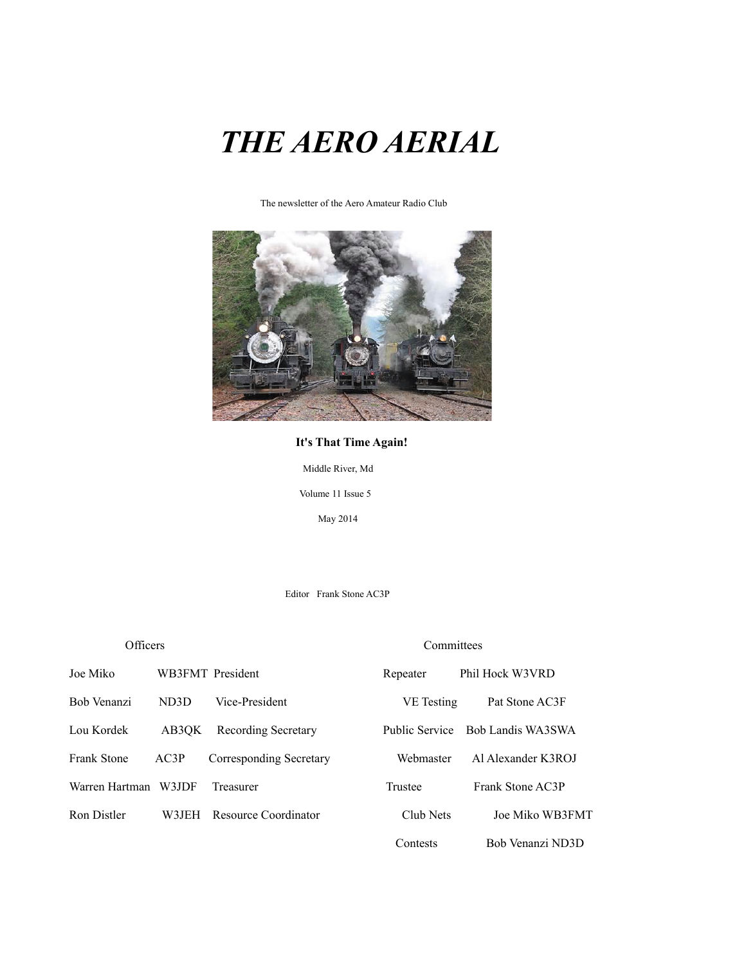## *THE AERO AERIAL*

The newsletter of the Aero Amateur Radio Club



#### **It's That Time Again!**

Middle River, Md

Volume 11 Issue 5

May 2014

Editor Frank Stone AC3P

#### Officers Committees

| Joe Miko       |       | WB3FMT President           | Repeater   | Phil Hock W3VRD                  |
|----------------|-------|----------------------------|------------|----------------------------------|
| Bob Venanzi    | ND3D  | Vice-President             | VE Testing | Pat Stone AC3F                   |
| Lou Kordek     | AB3OK | <b>Recording Secretary</b> |            | Public Service Bob Landis WA3SWA |
| Frank Stone    | AC3P  | Corresponding Secretary    | Webmaster  | Al Alexander K3ROJ               |
| Warren Hartman | W3JDF | Treasurer                  | Trustee    | Frank Stone AC3P                 |
| Ron Distler    | W3JEH | Resource Coordinator       | Club Nets  | Joe Miko WB3FMT                  |
|                |       |                            | Contests   | Bob Venanzi ND3D                 |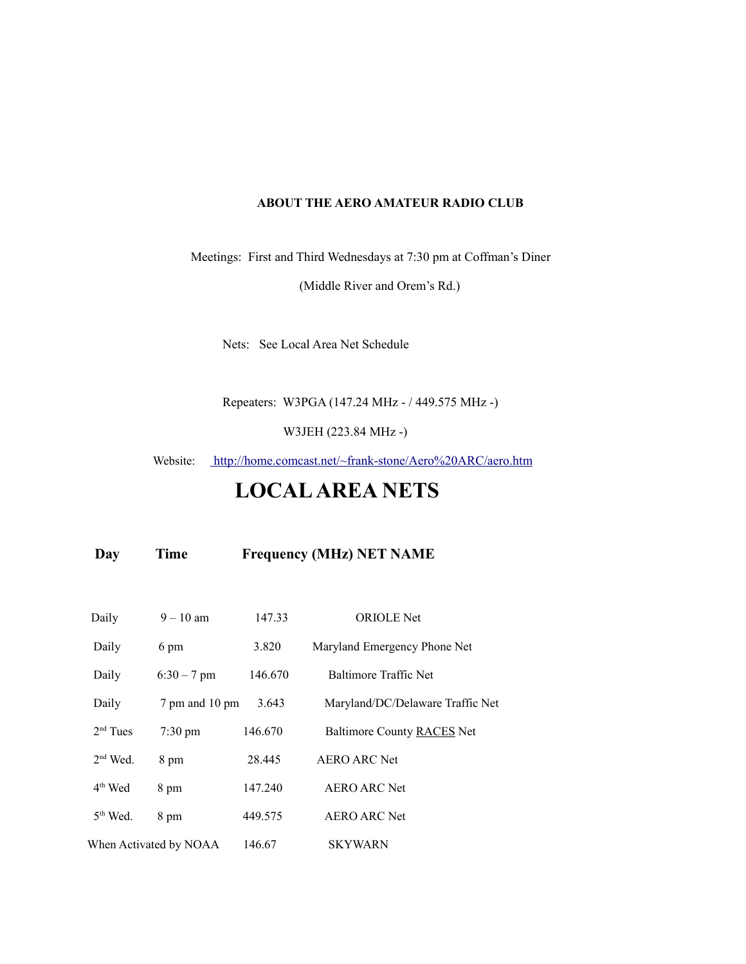#### **ABOUT THE AERO AMATEUR RADIO CLUB**

Meetings: First and Third Wednesdays at 7:30 pm at Coffman's Diner

(Middle River and Orem's Rd.)

Nets: See Local Area Net Schedule

Repeaters: W3PGA (147.24 MHz - / 449.575 MHz -)

W3JEH (223.84 MHz -)

Website: <http://home.comcast.net/~frank-stone/Aero%20ARC/aero.htm>

## **LOCAL AREA NETS**

 **Day Time Frequency (MHz) NET NAME**

| Daily      | $9 - 10$ am            | 147.33  | <b>ORIOLE</b> Net                |
|------------|------------------------|---------|----------------------------------|
| Daily      | 6 pm                   | 3.820   | Maryland Emergency Phone Net     |
| Daily      | $6:30 - 7$ pm          | 146.670 | Baltimore Traffic Net            |
| Daily      | 7 pm and 10 pm         | 3.643   | Maryland/DC/Delaware Traffic Net |
| $2nd$ Tues | $7:30 \text{ pm}$      | 146.670 | Baltimore County RACES Net       |
| $2nd$ Wed. | 8 pm                   | 28.445  | AERO ARC Net                     |
| $4th$ Wed  | 8 pm                   | 147.240 | AERO ARC Net                     |
| $5th$ Wed. | 8 pm                   | 449.575 | AERO ARC Net                     |
|            | When Activated by NOAA | 146.67  | <b>SKYWARN</b>                   |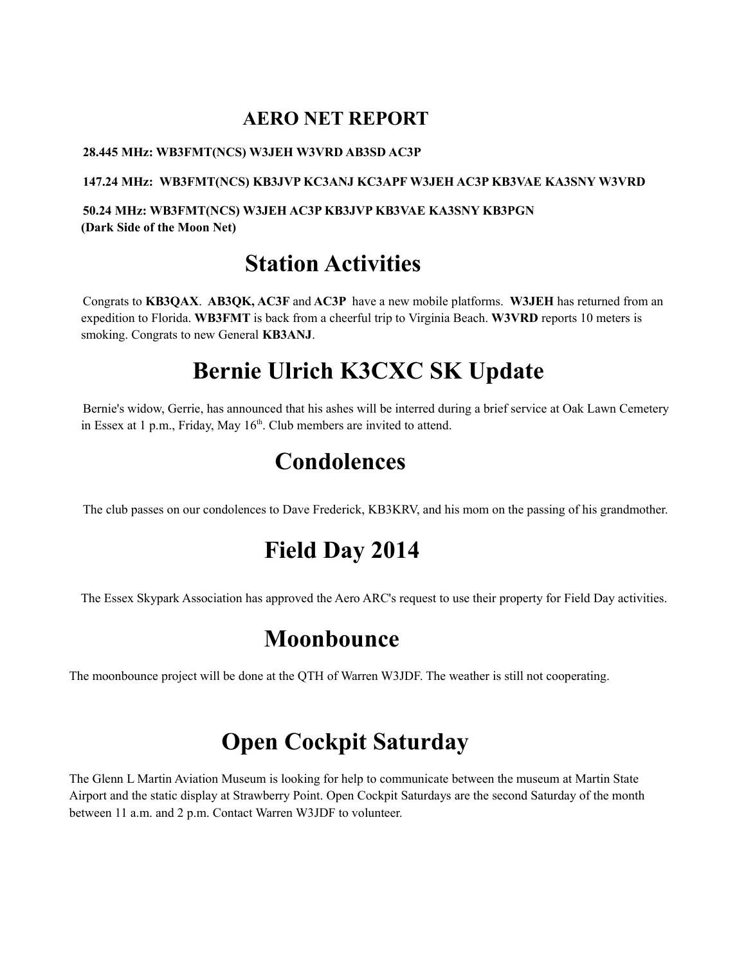### **AERO NET REPORT**

#### **28.445 MHz: WB3FMT(NCS) W3JEH W3VRD AB3SD AC3P**

**147.24 MHz: WB3FMT(NCS) KB3JVP KC3ANJ KC3APF W3JEH AC3P KB3VAE KA3SNY W3VRD** 

**50.24 MHz: WB3FMT(NCS) W3JEH AC3P KB3JVP KB3VAE KA3SNY KB3PGN (Dark Side of the Moon Net)**

## **Station Activities**

Congrats to **KB3QAX**. **AB3QK, AC3F** and **AC3P** have a new mobile platforms. **W3JEH** has returned from an expedition to Florida. **WB3FMT** is back from a cheerful trip to Virginia Beach. **W3VRD** reports 10 meters is smoking. Congrats to new General **KB3ANJ**.

## **Bernie Ulrich K3CXC SK Update**

Bernie's widow, Gerrie, has announced that his ashes will be interred during a brief service at Oak Lawn Cemetery in Essex at 1 p.m., Friday, May  $16<sup>th</sup>$ . Club members are invited to attend.

## **Condolences**

The club passes on our condolences to Dave Frederick, KB3KRV, and his mom on the passing of his grandmother.

## **Field Day 2014**

The Essex Skypark Association has approved the Aero ARC's request to use their property for Field Day activities.

## **Moonbounce**

The moonbounce project will be done at the QTH of Warren W3JDF. The weather is still not cooperating.

## **Open Cockpit Saturday**

The Glenn L Martin Aviation Museum is looking for help to communicate between the museum at Martin State Airport and the static display at Strawberry Point. Open Cockpit Saturdays are the second Saturday of the month between 11 a.m. and 2 p.m. Contact Warren W3JDF to volunteer.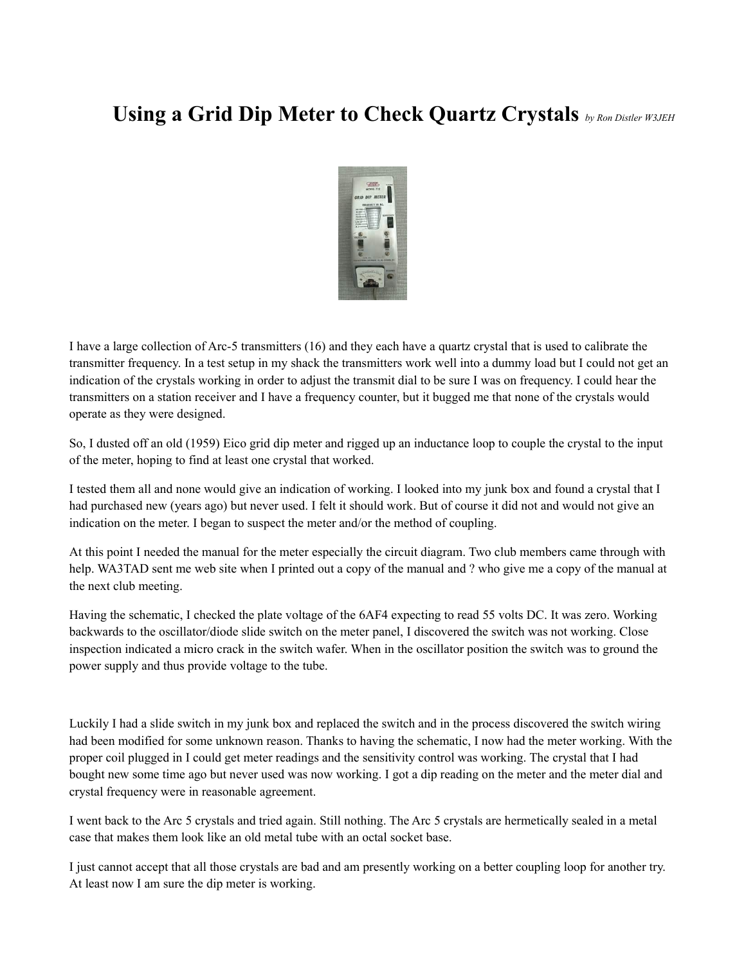## **Using a Grid Dip Meter to Check Quartz Crystals** *by Ron Distler W3JEH*



I have a large collection of Arc-5 transmitters (16) and they each have a quartz crystal that is used to calibrate the transmitter frequency. In a test setup in my shack the transmitters work well into a dummy load but I could not get an indication of the crystals working in order to adjust the transmit dial to be sure I was on frequency. I could hear the transmitters on a station receiver and I have a frequency counter, but it bugged me that none of the crystals would operate as they were designed.

So, I dusted off an old (1959) Eico grid dip meter and rigged up an inductance loop to couple the crystal to the input of the meter, hoping to find at least one crystal that worked.

I tested them all and none would give an indication of working. I looked into my junk box and found a crystal that I had purchased new (years ago) but never used. I felt it should work. But of course it did not and would not give an indication on the meter. I began to suspect the meter and/or the method of coupling.

At this point I needed the manual for the meter especially the circuit diagram. Two club members came through with help. WA3TAD sent me web site when I printed out a copy of the manual and ? who give me a copy of the manual at the next club meeting.

Having the schematic, I checked the plate voltage of the 6AF4 expecting to read 55 volts DC. It was zero. Working backwards to the oscillator/diode slide switch on the meter panel, I discovered the switch was not working. Close inspection indicated a micro crack in the switch wafer. When in the oscillator position the switch was to ground the power supply and thus provide voltage to the tube.

Luckily I had a slide switch in my junk box and replaced the switch and in the process discovered the switch wiring had been modified for some unknown reason. Thanks to having the schematic, I now had the meter working. With the proper coil plugged in I could get meter readings and the sensitivity control was working. The crystal that I had bought new some time ago but never used was now working. I got a dip reading on the meter and the meter dial and crystal frequency were in reasonable agreement.

I went back to the Arc 5 crystals and tried again. Still nothing. The Arc 5 crystals are hermetically sealed in a metal case that makes them look like an old metal tube with an octal socket base.

I just cannot accept that all those crystals are bad and am presently working on a better coupling loop for another try. At least now I am sure the dip meter is working.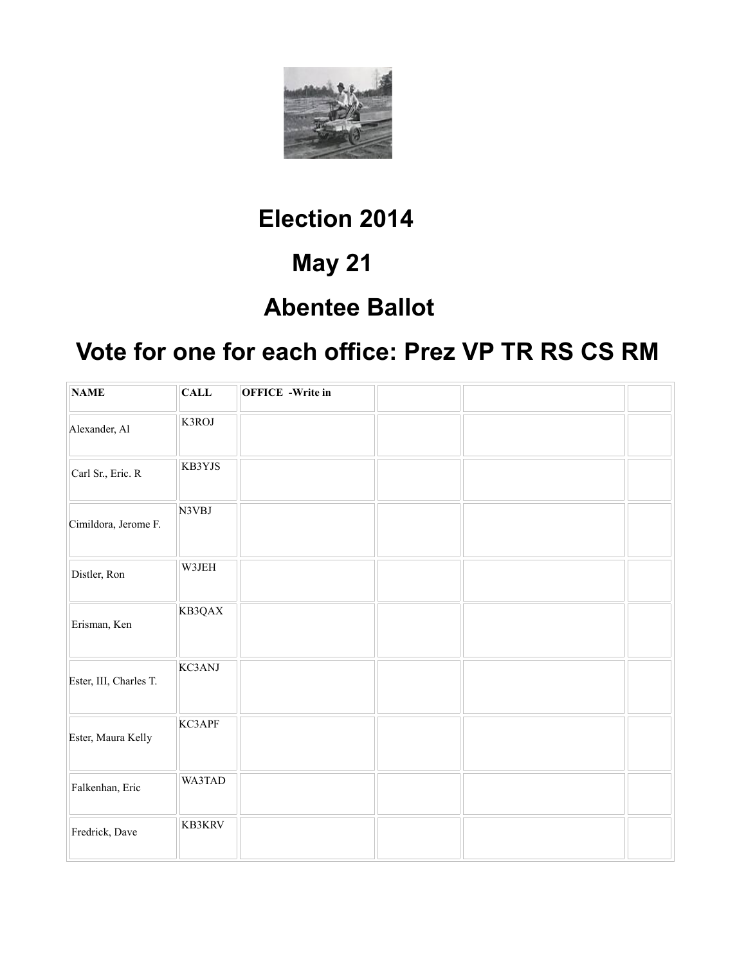

## **Election 2014**

## **May 21**

## **Abentee Ballot**

## **Vote for one for each office: Prez VP TR RS CS RM**

| <b>NAME</b>            | <b>CALL</b> | <b>OFFICE</b> -Write in |  |  |
|------------------------|-------------|-------------------------|--|--|
| Alexander, Al          | K3ROJ       |                         |  |  |
| Carl Sr., Eric. R      | KB3YJS      |                         |  |  |
| Cimildora, Jerome F.   | N3VBJ       |                         |  |  |
| Distler, Ron           | W3JEH       |                         |  |  |
| Erisman, Ken           | KB3QAX      |                         |  |  |
| Ester, III, Charles T. | KC3ANJ      |                         |  |  |
| Ester, Maura Kelly     | KC3APF      |                         |  |  |
| Falkenhan, Eric        | WA3TAD      |                         |  |  |
| Fredrick, Dave         | KB3KRV      |                         |  |  |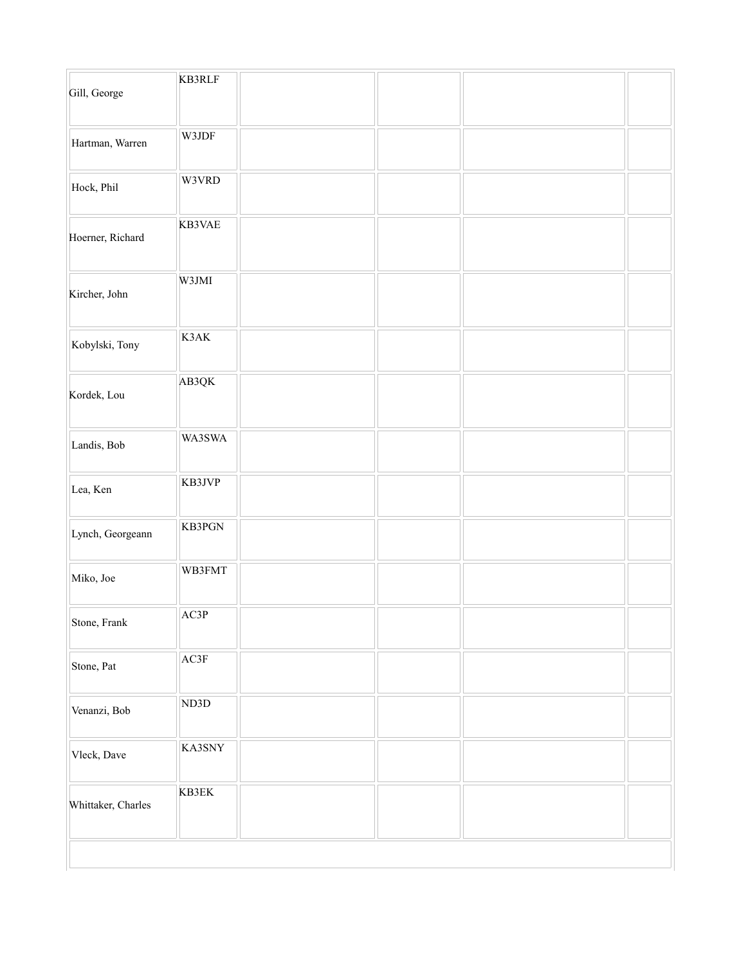| Gill, George       | <b>KB3RLF</b> |  |  |
|--------------------|---------------|--|--|
| Hartman, Warren    | W3JDF         |  |  |
| Hock, Phil         | W3VRD         |  |  |
| Hoerner, Richard   | KB3VAE        |  |  |
| Kircher, John      | W3JMI         |  |  |
| Kobylski, Tony     | K3AK          |  |  |
| Kordek, Lou        | AB3QK         |  |  |
| Landis, Bob        | WA3SWA        |  |  |
| Lea, Ken           | KB3JVP        |  |  |
| Lynch, Georgeann   | KB3PGN        |  |  |
| Miko, Joe          | WB3FMT        |  |  |
| Stone, Frank       | AC3P          |  |  |
| Stone, Pat         | AC3F          |  |  |
| Venanzi, Bob       | ND3D          |  |  |
| Vleck, Dave        | KA3SNY        |  |  |
| Whittaker, Charles | KB3EK         |  |  |
|                    |               |  |  |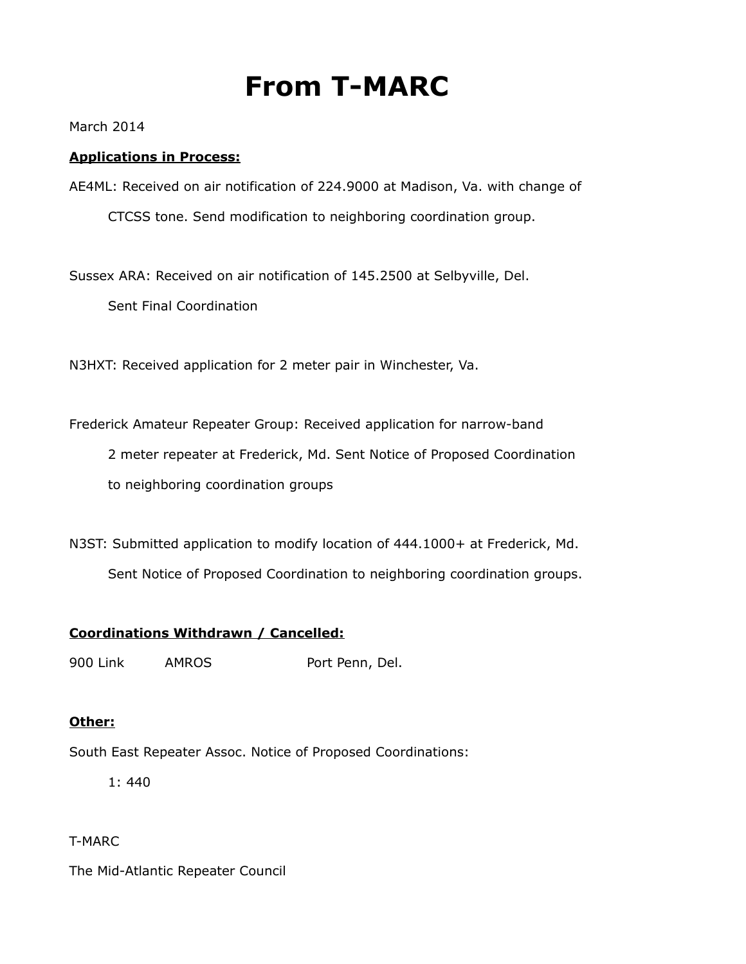## **From T-MARC**

March 2014

#### **Applications in Process:**

AE4ML: Received on air notification of 224.9000 at Madison, Va. with change of CTCSS tone. Send modification to neighboring coordination group.

Sussex ARA: Received on air notification of 145.2500 at Selbyville, Del.

Sent Final Coordination

N3HXT: Received application for 2 meter pair in Winchester, Va.

Frederick Amateur Repeater Group: Received application for narrow-band 2 meter repeater at Frederick, Md. Sent Notice of Proposed Coordination to neighboring coordination groups

N3ST: Submitted application to modify location of 444.1000+ at Frederick, Md. Sent Notice of Proposed Coordination to neighboring coordination groups.

#### **Coordinations Withdrawn / Cancelled:**

900 Link AMROS Port Penn, Del.

#### **Other:**

South East Repeater Assoc. Notice of Proposed Coordinations:

1: 440

#### T-MARC

The Mid-Atlantic Repeater Council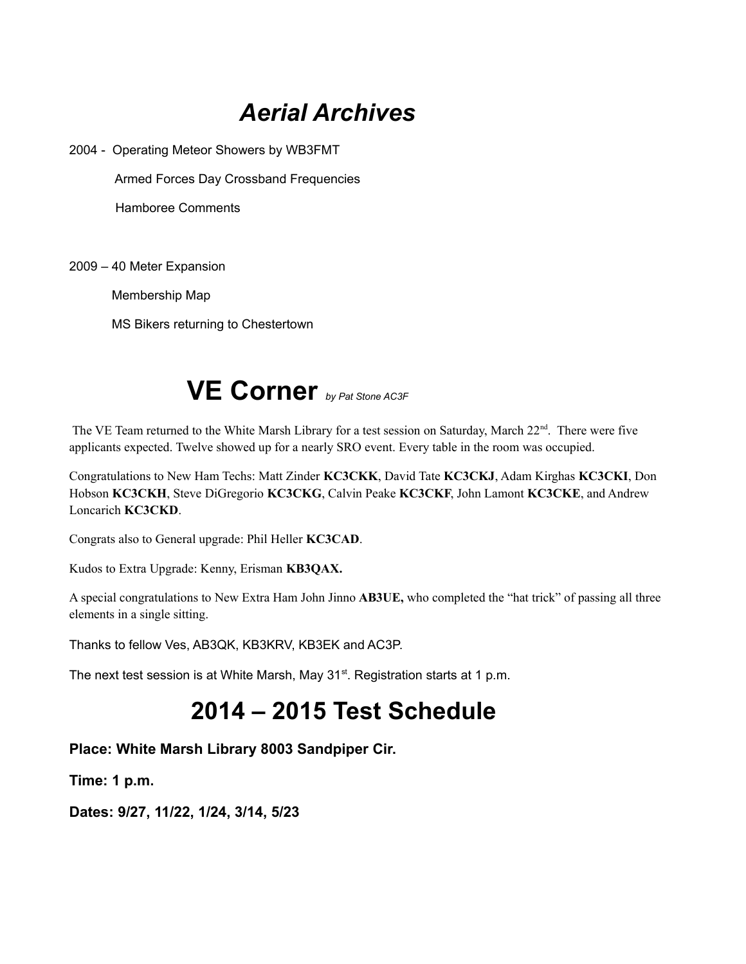## *Aerial Archives*

2004 - Operating Meteor Showers by WB3FMT

Armed Forces Day Crossband Frequencies

Hamboree Comments

2009 – 40 Meter Expansion

Membership Map

MS Bikers returning to Chestertown



The VE Team returned to the White Marsh Library for a test session on Saturday, March 22<sup>nd</sup>. There were five applicants expected. Twelve showed up for a nearly SRO event. Every table in the room was occupied.

Congratulations to New Ham Techs: Matt Zinder **KC3CKK**, David Tate **KC3CKJ**, Adam Kirghas **KC3CKI**, Don Hobson **KC3CKH**, Steve DiGregorio **KC3CKG**, Calvin Peake **KC3CKF**, John Lamont **KC3CKE**, and Andrew Loncarich **KC3CKD**.

Congrats also to General upgrade: Phil Heller **KC3CAD**.

Kudos to Extra Upgrade: Kenny, Erisman **KB3QAX.**

A special congratulations to New Extra Ham John Jinno **AB3UE,** who completed the "hat trick" of passing all three elements in a single sitting.

Thanks to fellow Ves, AB3QK, KB3KRV, KB3EK and AC3P.

The next test session is at White Marsh, May 31<sup>st</sup>. Registration starts at 1 p.m.

## **2014 – 2015 Test Schedule**

#### **Place: White Marsh Library 8003 Sandpiper Cir.**

**Time: 1 p.m.**

**Dates: 9/27, 11/22, 1/24, 3/14, 5/23**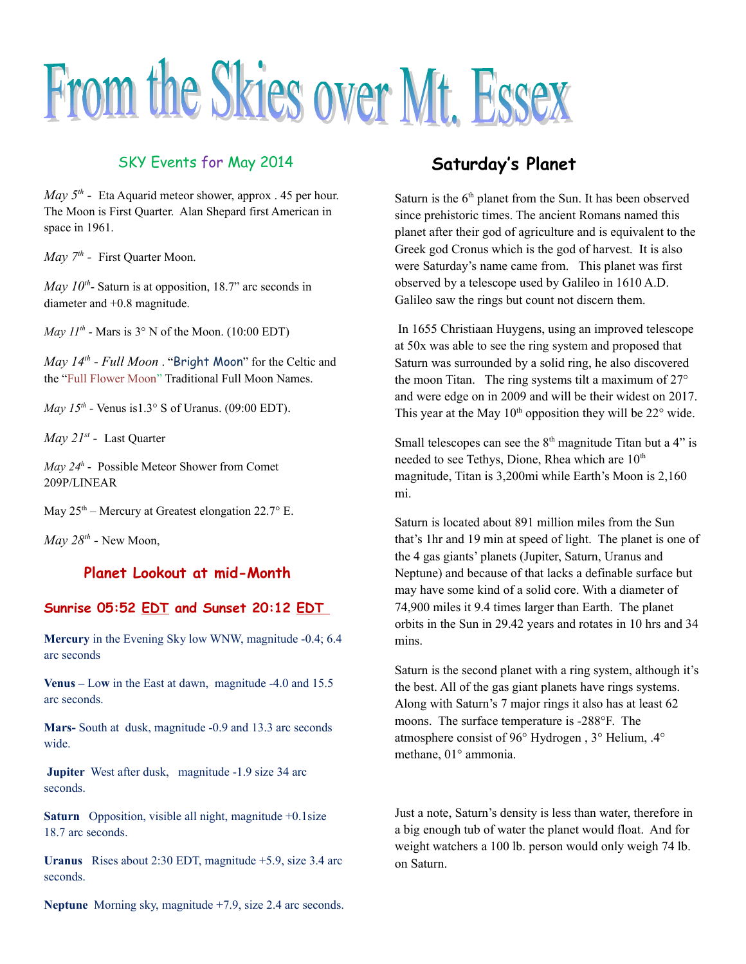# From the Skies over Mt. Essex

#### SKY Events for May 2014

*May 5<sup>th</sup>* - Eta Aquarid meteor shower, approx . 45 per hour. The Moon is First Quarter. Alan Shepard first American in space in 1961.

*May 7th -* First Quarter Moon.

*May*  $10^{th}$ - Saturn is at opposition, 18.7" arc seconds in diameter and +0.8 magnitude.

*May*  $11^{th}$  *- Mars is*  $3^{\circ}$  N of the Moon. (10:00 EDT)

*May 14th - Full Moon* . "Bright Moon" for the Celtic and the "Full Flower Moon" Traditional Full Moon Names.

*May 15<sup>th</sup>* - Venus is1.3° S of Uranus. (09:00 EDT).

*May 21st -* Last Quarter

*May 24<sup>h</sup>* - Possible Meteor Shower from Comet 209P/LINEAR

May  $25<sup>th</sup>$  – Mercury at Greatest elongation 22.7° E.

*May 28th -* New Moon,

#### **Planet Lookout at mid-Month**

#### **Sunrise 05:52 EDT and Sunset 20:12 EDT**

**Mercury** in the Evening Sky low WNW, magnitude -0.4; 6.4 arc seconds

**Venus –** Lo**w** in the East at dawn, magnitude -4.0 and 15.5 arc seconds.

**Mars-** South at dusk, magnitude -0.9 and 13.3 arc seconds wide.

**Jupiter** West after dusk, magnitude -1.9 size 34 arc seconds.

**Saturn** Opposition, visible all night, magnitude +0.1size 18.7 arc seconds.

**Uranus** Rises about 2:30 EDT, magnitude +5.9, size 3.4 arc seconds.

**Neptune** Morning sky, magnitude +7.9, size 2.4 arc seconds.

#### **Saturday's Planet**

Saturn is the  $6<sup>th</sup>$  planet from the Sun. It has been observed since prehistoric times. The ancient Romans named this planet after their god of agriculture and is equivalent to the Greek god Cronus which is the god of harvest. It is also were Saturday's name came from. This planet was first observed by a telescope used by Galileo in 1610 A.D. Galileo saw the rings but count not discern them.

 In 1655 Christiaan Huygens, using an improved telescope at 50x was able to see the ring system and proposed that Saturn was surrounded by a solid ring, he also discovered the moon Titan. The ring systems tilt a maximum of 27° and were edge on in 2009 and will be their widest on 2017. This year at the May  $10<sup>th</sup>$  opposition they will be  $22<sup>o</sup>$  wide.

Small telescopes can see the  $8<sup>th</sup>$  magnitude Titan but a 4" is needed to see Tethys, Dione, Rhea which are 10<sup>th</sup> magnitude, Titan is 3,200mi while Earth's Moon is 2,160 mi.

Saturn is located about 891 million miles from the Sun that's 1hr and 19 min at speed of light. The planet is one of the 4 gas giants' planets (Jupiter, Saturn, Uranus and Neptune) and because of that lacks a definable surface but may have some kind of a solid core. With a diameter of 74,900 miles it 9.4 times larger than Earth. The planet orbits in the Sun in 29.42 years and rotates in 10 hrs and 34 mins.

Saturn is the second planet with a ring system, although it's the best. All of the gas giant planets have rings systems. Along with Saturn's 7 major rings it also has at least 62 moons. The surface temperature is -288°F. The atmosphere consist of 96° Hydrogen , 3° Helium, .4° methane, 01° ammonia.

Just a note, Saturn's density is less than water, therefore in a big enough tub of water the planet would float. And for weight watchers a 100 lb. person would only weigh 74 lb. on Saturn.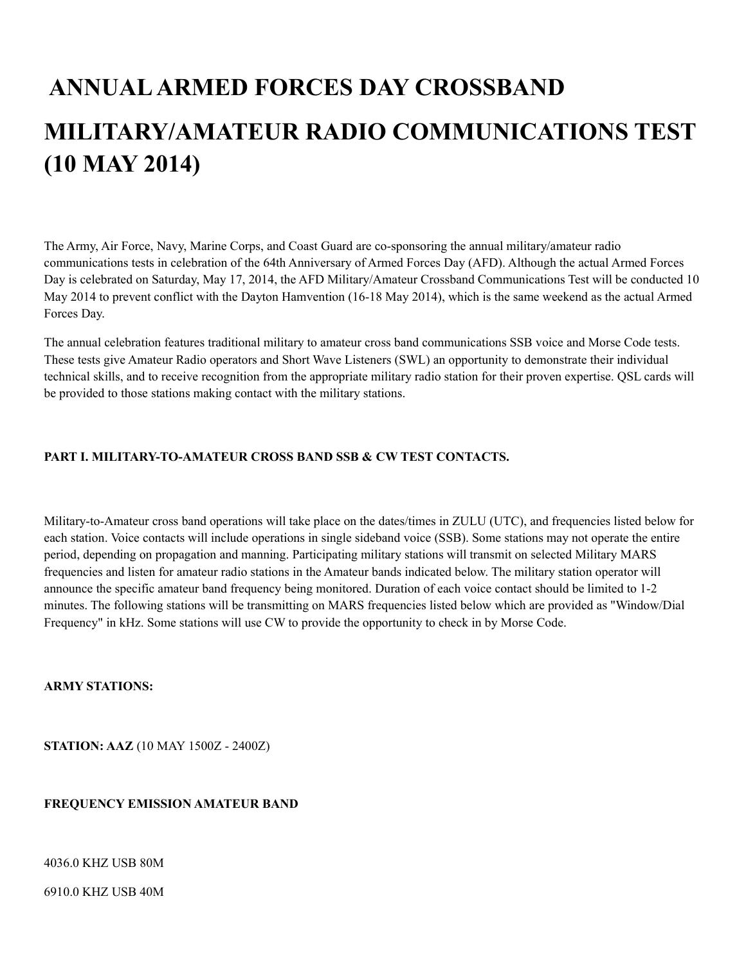## **ANNUAL ARMED FORCES DAY CROSSBAND MILITARY/AMATEUR RADIO COMMUNICATIONS TEST (10 MAY 2014)**

The Army, Air Force, Navy, Marine Corps, and Coast Guard are co-sponsoring the annual military/amateur radio communications tests in celebration of the 64th Anniversary of Armed Forces Day (AFD). Although the actual Armed Forces Day is celebrated on Saturday, May 17, 2014, the AFD Military/Amateur Crossband Communications Test will be conducted 10 May 2014 to prevent conflict with the Dayton Hamvention (16-18 May 2014), which is the same weekend as the actual Armed Forces Day.

The annual celebration features traditional military to amateur cross band communications SSB voice and Morse Code tests. These tests give Amateur Radio operators and Short Wave Listeners (SWL) an opportunity to demonstrate their individual technical skills, and to receive recognition from the appropriate military radio station for their proven expertise. QSL cards will be provided to those stations making contact with the military stations.

#### **PART I. MILITARY-TO-AMATEUR CROSS BAND SSB & CW TEST CONTACTS.**

Military-to-Amateur cross band operations will take place on the dates/times in ZULU (UTC), and frequencies listed below for each station. Voice contacts will include operations in single sideband voice (SSB). Some stations may not operate the entire period, depending on propagation and manning. Participating military stations will transmit on selected Military MARS frequencies and listen for amateur radio stations in the Amateur bands indicated below. The military station operator will announce the specific amateur band frequency being monitored. Duration of each voice contact should be limited to 1-2 minutes. The following stations will be transmitting on MARS frequencies listed below which are provided as "Window/Dial Frequency" in kHz. Some stations will use CW to provide the opportunity to check in by Morse Code.

#### **ARMY STATIONS:**

**STATION: AAZ** (10 MAY 1500Z - 2400Z)

#### **FREQUENCY EMISSION AMATEUR BAND**

4036.0 KHZ USB 80M

6910.0 KHZ USB 40M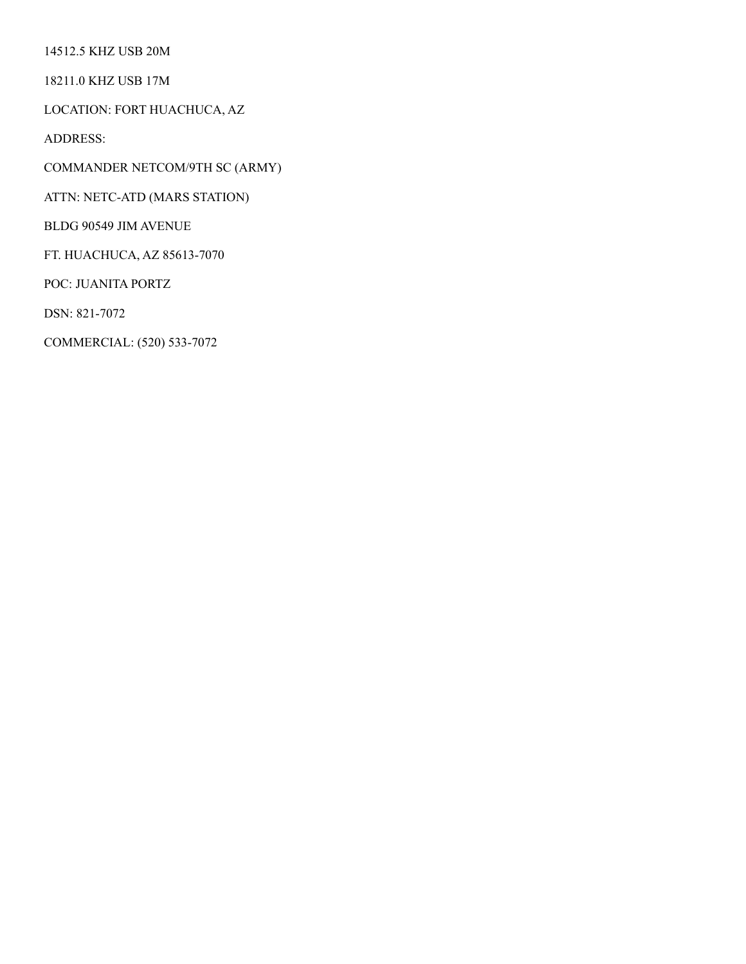14512.5 KHZ USB 20M

18211.0 KHZ USB 17M

LOCATION: FORT HUACHUCA, AZ

ADDRESS:

COMMANDER NETCOM/9TH SC (ARMY)

ATTN: NETC-ATD (MARS STATION)

BLDG 90549 JIM AVENUE

FT. HUACHUCA, AZ 85613-7070

POC: JUANITA PORTZ

DSN: 821-7072

COMMERCIAL: (520) 533-7072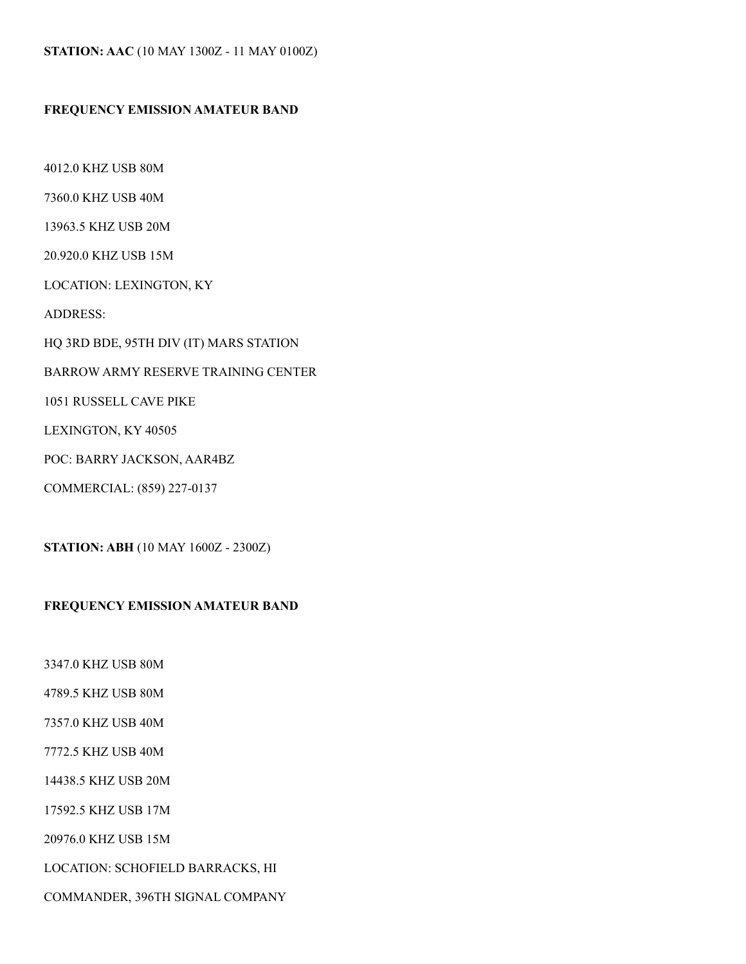#### **FREQUENCY EMISSION AMATEUR BAND**

4012.0 KHZ USB 80M 7360.0 KHZ USB 40M 13963.5 KHZ USB 20M 20.920.0 KHZ USB 15M LOCATION: LEXINGTON, KY ADDRESS: HQ 3RD BDE, 95TH DIV (IT) MARS STATION BARROW ARMY RESERVE TRAINING CENTER 1051 RUSSELL CAVE PIKE LEXINGTON, KY 40505 POC: BARRY JACKSON, AAR4BZ COMMERCIAL: (859) 227-0137

**STATION: ABH** (10 MAY 1600Z - 2300Z)

#### **FREQUENCY EMISSION AMATEUR BAND**

3347.0 KHZ USB 80M

4789.5 KHZ USB 80M

7357.0 KHZ USB 40M

7772.5 KHZ USB 40M

14438.5 KHZ USB 20M

17592.5 KHZ USB 17M

20976.0 KHZ USB 15M

LOCATION: SCHOFIELD BARRACKS, HI

COMMANDER, 396TH SIGNAL COMPANY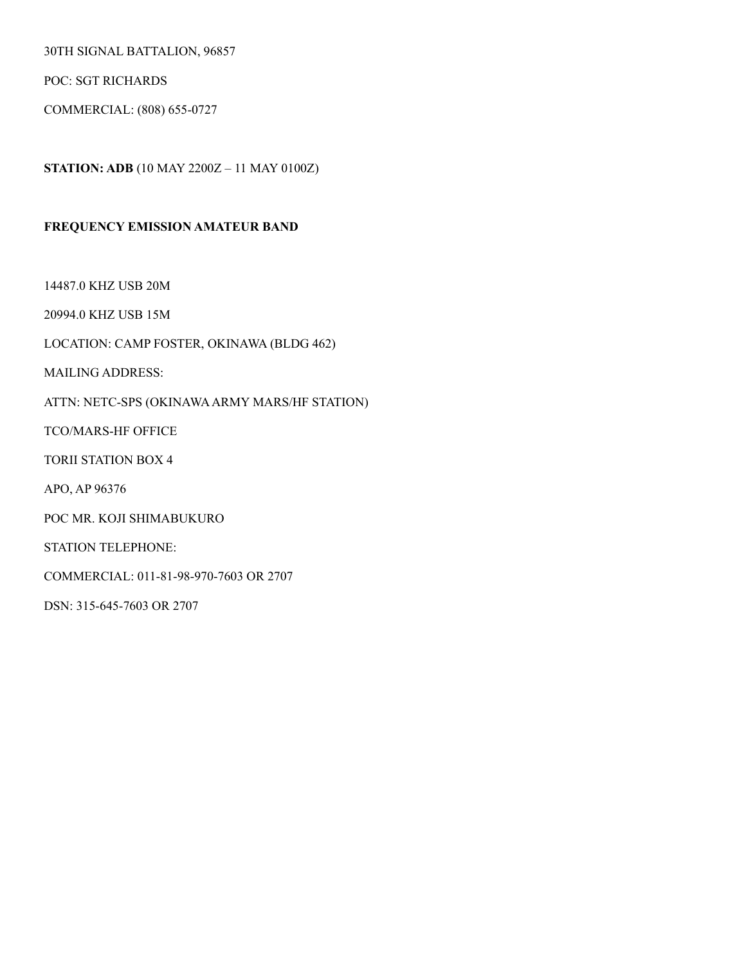30TH SIGNAL BATTALION, 96857

POC: SGT RICHARDS

COMMERCIAL: (808) 655-0727

**STATION: ADB** (10 MAY 2200Z – 11 MAY 0100Z)

#### **FREQUENCY EMISSION AMATEUR BAND**

14487.0 KHZ USB 20M

20994.0 KHZ USB 15M

LOCATION: CAMP FOSTER, OKINAWA (BLDG 462)

MAILING ADDRESS:

ATTN: NETC-SPS (OKINAWA ARMY MARS/HF STATION)

TCO/MARS-HF OFFICE

TORII STATION BOX 4

APO, AP 96376

POC MR. KOJI SHIMABUKURO

STATION TELEPHONE:

COMMERCIAL: 011-81-98-970-7603 OR 2707

DSN: 315-645-7603 OR 2707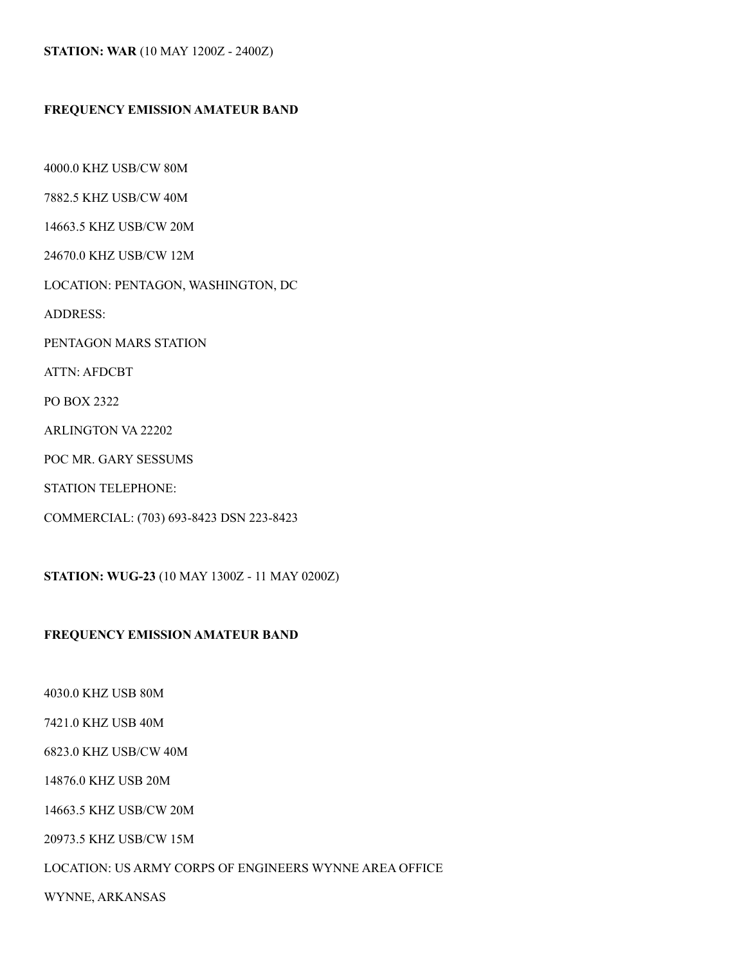#### **STATION: WAR** (10 MAY 1200Z - 2400Z)

#### **FREQUENCY EMISSION AMATEUR BAND**

4000.0 KHZ USB/CW 80M 7882.5 KHZ USB/CW 40M 14663.5 KHZ USB/CW 20M 24670.0 KHZ USB/CW 12M LOCATION: PENTAGON, WASHINGTON, DC ADDRESS: PENTAGON MARS STATION ATTN: AFDCBT PO BOX 2322 ARLINGTON VA 22202 POC MR. GARY SESSUMS STATION TELEPHONE:

COMMERCIAL: (703) 693-8423 DSN 223-8423

**STATION: WUG-23** (10 MAY 1300Z - 11 MAY 0200Z)

#### **FREQUENCY EMISSION AMATEUR BAND**

4030.0 KHZ USB 80M

7421.0 KHZ USB 40M

6823.0 KHZ USB/CW 40M

14876.0 KHZ USB 20M

14663.5 KHZ USB/CW 20M

20973.5 KHZ USB/CW 15M

LOCATION: US ARMY CORPS OF ENGINEERS WYNNE AREA OFFICE

WYNNE, ARKANSAS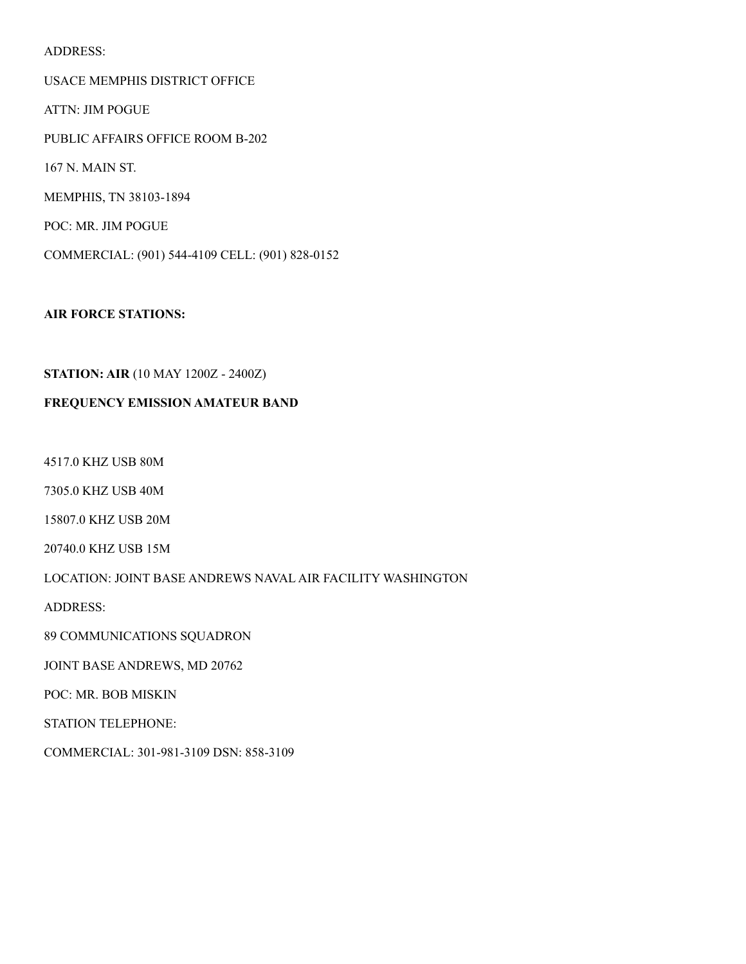#### ADDRESS:

USACE MEMPHIS DISTRICT OFFICE ATTN: JIM POGUE PUBLIC AFFAIRS OFFICE ROOM B-202 167 N. MAIN ST. MEMPHIS, TN 38103-1894 POC: MR. JIM POGUE COMMERCIAL: (901) 544-4109 CELL: (901) 828-0152

**AIR FORCE STATIONS:** 

#### **STATION: AIR** (10 MAY 1200Z - 2400Z)

#### **FREQUENCY EMISSION AMATEUR BAND**

4517.0 KHZ USB 80M

7305.0 KHZ USB 40M

15807.0 KHZ USB 20M

20740.0 KHZ USB 15M

#### LOCATION: JOINT BASE ANDREWS NAVAL AIR FACILITY WASHINGTON

ADDRESS:

89 COMMUNICATIONS SQUADRON

JOINT BASE ANDREWS, MD 20762

POC: MR. BOB MISKIN

STATION TELEPHONE:

COMMERCIAL: 301-981-3109 DSN: 858-3109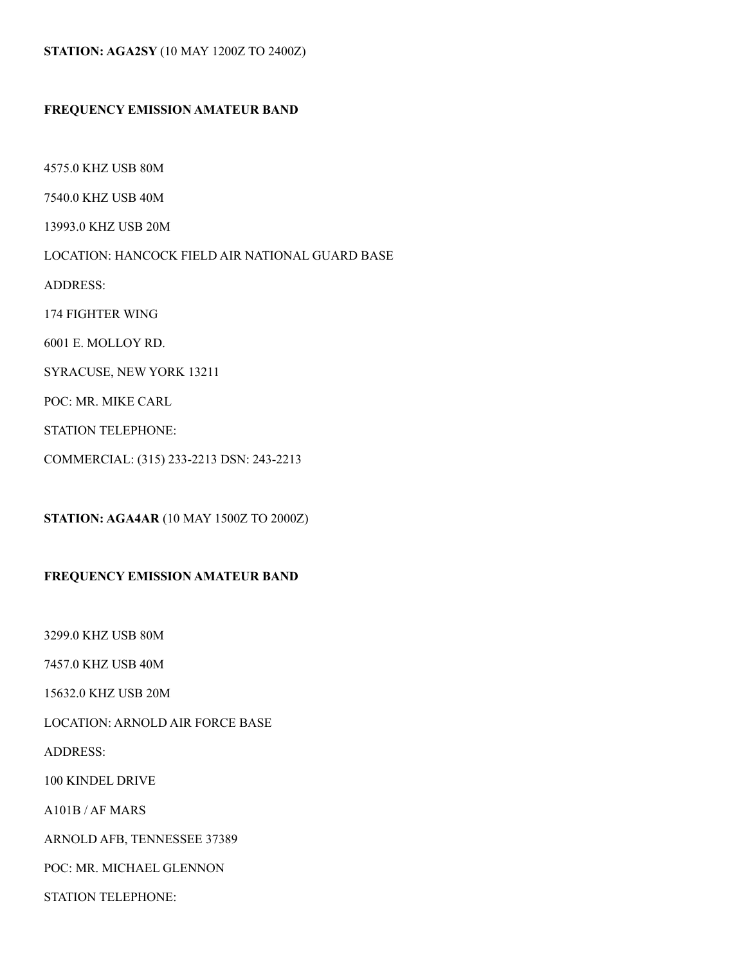#### **STATION: AGA2SY** (10 MAY 1200Z TO 2400Z)

#### **FREQUENCY EMISSION AMATEUR BAND**

4575.0 KHZ USB 80M 7540.0 KHZ USB 40M 13993.0 KHZ USB 20M LOCATION: HANCOCK FIELD AIR NATIONAL GUARD BASE ADDRESS: 174 FIGHTER WING 6001 E. MOLLOY RD. SYRACUSE, NEW YORK 13211 POC: MR. MIKE CARL STATION TELEPHONE: COMMERCIAL: (315) 233-2213 DSN: 243-2213

**STATION: AGA4AR** (10 MAY 1500Z TO 2000Z)

#### **FREQUENCY EMISSION AMATEUR BAND**

3299.0 KHZ USB 80M

7457.0 KHZ USB 40M

15632.0 KHZ USB 20M

LOCATION: ARNOLD AIR FORCE BASE

ADDRESS:

100 KINDEL DRIVE

A101B / AF MARS

ARNOLD AFB, TENNESSEE 37389

POC: MR. MICHAEL GLENNON

STATION TELEPHONE: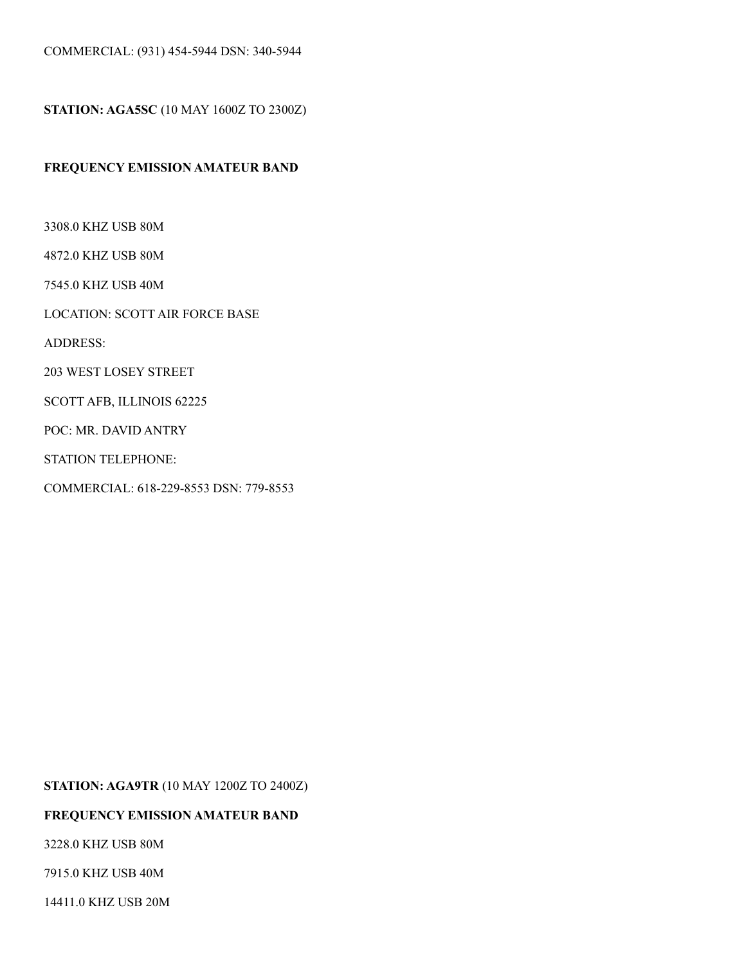**STATION: AGA5SC** (10 MAY 1600Z TO 2300Z)

#### **FREQUENCY EMISSION AMATEUR BAND**

3308.0 KHZ USB 80M

4872.0 KHZ USB 80M

7545.0 KHZ USB 40M

LOCATION: SCOTT AIR FORCE BASE

ADDRESS:

203 WEST LOSEY STREET

SCOTT AFB, ILLINOIS 62225

POC: MR. DAVID ANTRY

STATION TELEPHONE:

COMMERCIAL: 618-229-8553 DSN: 779-8553

**STATION: AGA9TR** (10 MAY 1200Z TO 2400Z)

#### **FREQUENCY EMISSION AMATEUR BAND**

3228.0 KHZ USB 80M

7915.0 KHZ USB 40M

14411.0 KHZ USB 20M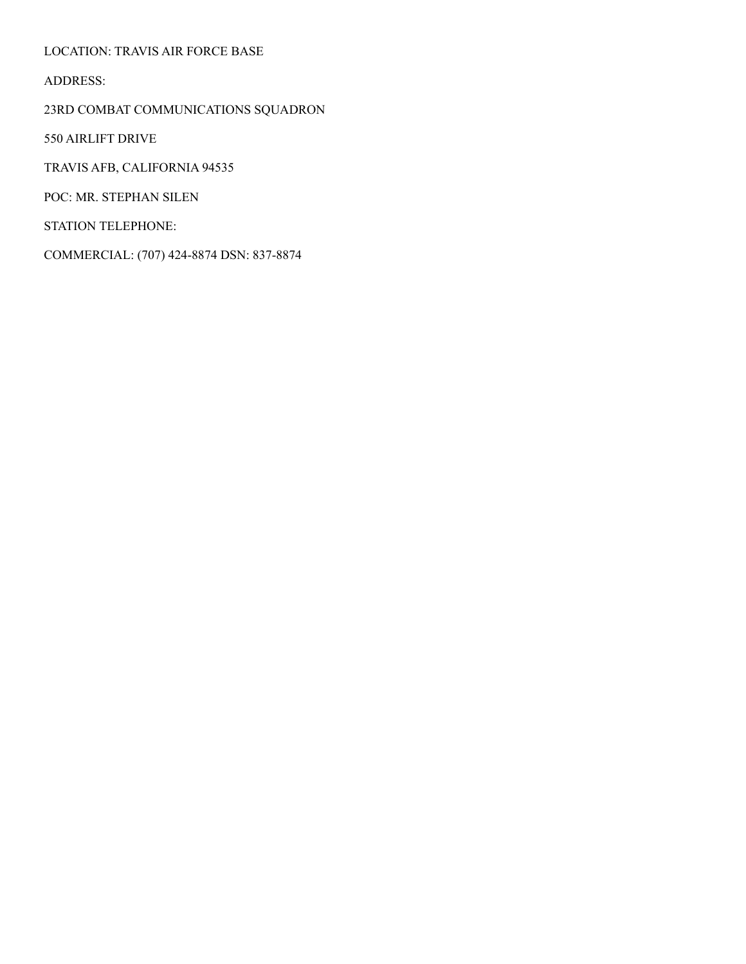LOCATION: TRAVIS AIR FORCE BASE

ADDRESS:

23RD COMBAT COMMUNICATIONS SQUADRON

550 AIRLIFT DRIVE

TRAVIS AFB, CALIFORNIA 94535

POC: MR. STEPHAN SILEN

STATION TELEPHONE:

COMMERCIAL: (707) 424-8874 DSN: 837-8874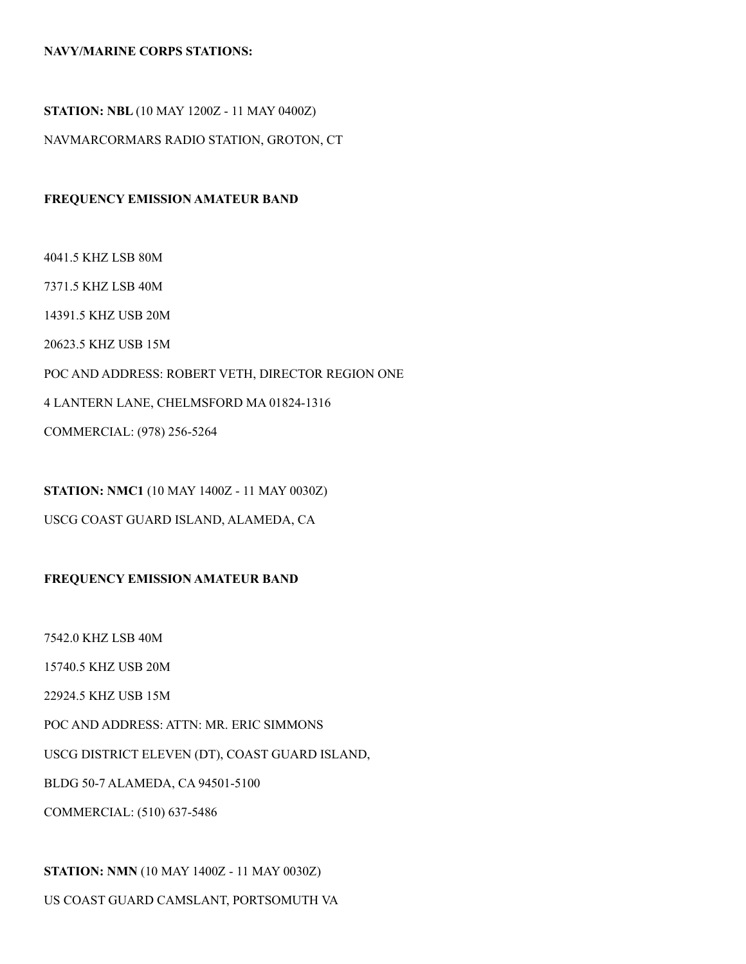#### **NAVY/MARINE CORPS STATIONS:**

#### **STATION: NBL** (10 MAY 1200Z - 11 MAY 0400Z)

NAVMARCORMARS RADIO STATION, GROTON, CT

#### **FREQUENCY EMISSION AMATEUR BAND**

4041.5 KHZ LSB 80M 7371.5 KHZ LSB 40M 14391.5 KHZ USB 20M 20623.5 KHZ USB 15M POC AND ADDRESS: ROBERT VETH, DIRECTOR REGION ONE 4 LANTERN LANE, CHELMSFORD MA 01824-1316 COMMERCIAL: (978) 256-5264

**STATION: NMC1** (10 MAY 1400Z - 11 MAY 0030Z)

#### USCG COAST GUARD ISLAND, ALAMEDA, CA

#### **FREQUENCY EMISSION AMATEUR BAND**

7542.0 KHZ LSB 40M

15740.5 KHZ USB 20M

22924.5 KHZ USB 15M

POC AND ADDRESS: ATTN: MR. ERIC SIMMONS

USCG DISTRICT ELEVEN (DT), COAST GUARD ISLAND,

BLDG 50-7 ALAMEDA, CA 94501-5100

COMMERCIAL: (510) 637-5486

**STATION: NMN** (10 MAY 1400Z - 11 MAY 0030Z)

US COAST GUARD CAMSLANT, PORTSOMUTH VA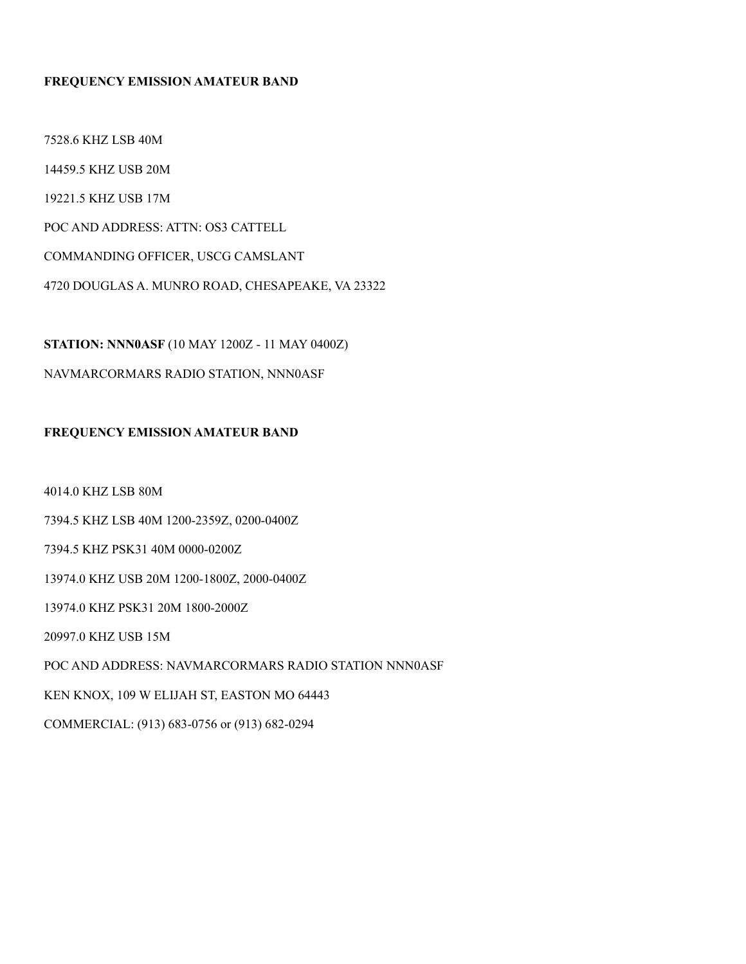#### **FREQUENCY EMISSION AMATEUR BAND**

7528.6 KHZ LSB 40M 14459.5 KHZ USB 20M 19221.5 KHZ USB 17M POC AND ADDRESS: ATTN: OS3 CATTELL COMMANDING OFFICER, USCG CAMSLANT

**STATION: NNN0ASF** (10 MAY 1200Z - 11 MAY 0400Z)

4720 DOUGLAS A. MUNRO ROAD, CHESAPEAKE, VA 23322

NAVMARCORMARS RADIO STATION, NNN0ASF

#### **FREQUENCY EMISSION AMATEUR BAND**

4014.0 KHZ LSB 80M

7394.5 KHZ LSB 40M 1200-2359Z, 0200-0400Z

7394.5 KHZ PSK31 40M 0000-0200Z

13974.0 KHZ USB 20M 1200-1800Z, 2000-0400Z

13974.0 KHZ PSK31 20M 1800-2000Z

20997.0 KHZ USB 15M

POC AND ADDRESS: NAVMARCORMARS RADIO STATION NNN0ASF

KEN KNOX, 109 W ELIJAH ST, EASTON MO 64443

COMMERCIAL: (913) 683-0756 or (913) 682-0294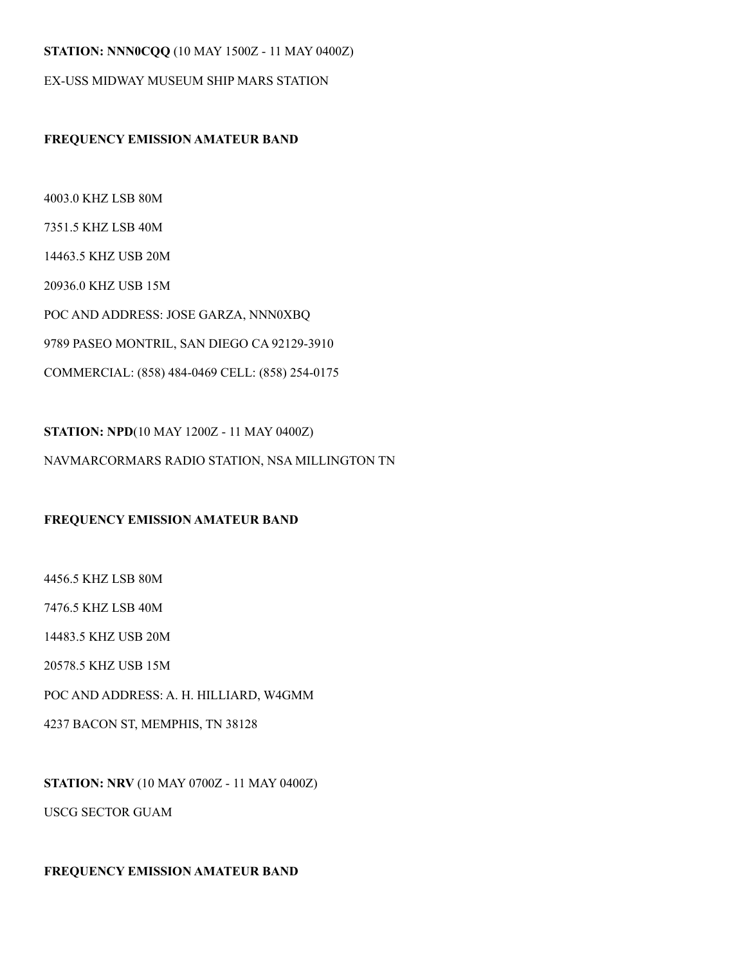#### **STATION: NNN0CQQ** (10 MAY 1500Z - 11 MAY 0400Z)

EX-USS MIDWAY MUSEUM SHIP MARS STATION

#### **FREQUENCY EMISSION AMATEUR BAND**

4003.0 KHZ LSB 80M 7351.5 KHZ LSB 40M 14463.5 KHZ USB 20M 20936.0 KHZ USB 15M POC AND ADDRESS: JOSE GARZA, NNN0XBQ 9789 PASEO MONTRIL, SAN DIEGO CA 92129-3910 COMMERCIAL: (858) 484-0469 CELL: (858) 254-0175

**STATION: NPD**(10 MAY 1200Z - 11 MAY 0400Z) NAVMARCORMARS RADIO STATION, NSA MILLINGTON TN

#### **FREQUENCY EMISSION AMATEUR BAND**

4456.5 KHZ LSB 80M 7476.5 KHZ LSB 40M 14483.5 KHZ USB 20M 20578.5 KHZ USB 15M POC AND ADDRESS: A. H. HILLIARD, W4GMM 4237 BACON ST, MEMPHIS, TN 38128

**STATION: NRV** (10 MAY 0700Z - 11 MAY 0400Z) USCG SECTOR GUAM

#### **FREQUENCY EMISSION AMATEUR BAND**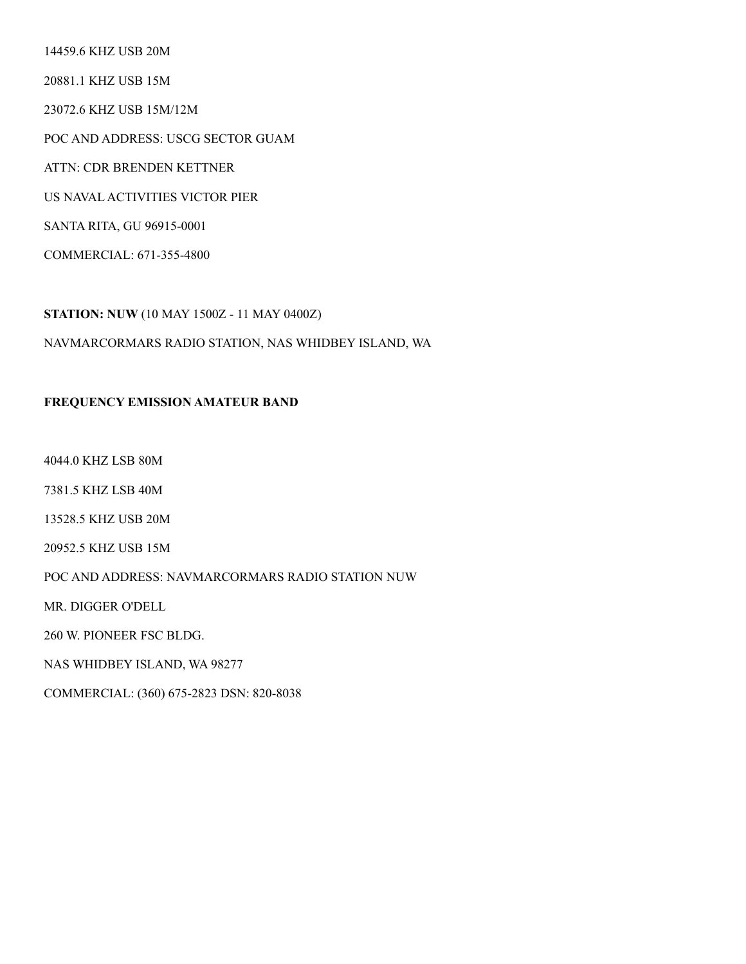14459.6 KHZ USB 20M

20881.1 KHZ USB 15M

23072.6 KHZ USB 15M/12M

POC AND ADDRESS: USCG SECTOR GUAM

ATTN: CDR BRENDEN KETTNER

US NAVAL ACTIVITIES VICTOR PIER

SANTA RITA, GU 96915-0001

COMMERCIAL: 671-355-4800

**STATION: NUW** (10 MAY 1500Z - 11 MAY 0400Z)

#### NAVMARCORMARS RADIO STATION, NAS WHIDBEY ISLAND, WA

#### **FREQUENCY EMISSION AMATEUR BAND**

4044.0 KHZ LSB 80M

7381.5 KHZ LSB 40M

13528.5 KHZ USB 20M

20952.5 KHZ USB 15M

POC AND ADDRESS: NAVMARCORMARS RADIO STATION NUW

MR. DIGGER O'DELL

260 W. PIONEER FSC BLDG.

NAS WHIDBEY ISLAND, WA 98277

COMMERCIAL: (360) 675-2823 DSN: 820-8038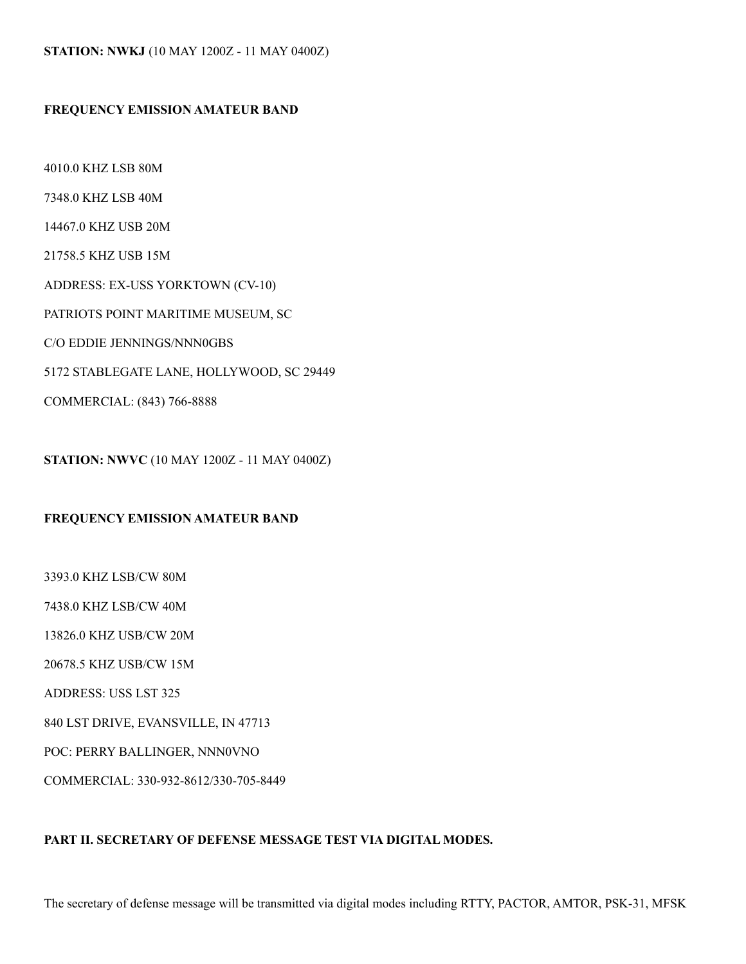#### **FREQUENCY EMISSION AMATEUR BAND**

4010.0 KHZ LSB 80M 7348.0 KHZ LSB 40M 14467.0 KHZ USB 20M 21758.5 KHZ USB 15M ADDRESS: EX-USS YORKTOWN (CV-10) PATRIOTS POINT MARITIME MUSEUM, SC C/O EDDIE JENNINGS/NNN0GBS 5172 STABLEGATE LANE, HOLLYWOOD, SC 29449 COMMERCIAL: (843) 766-8888

**STATION: NWVC** (10 MAY 1200Z - 11 MAY 0400Z)

#### **FREQUENCY EMISSION AMATEUR BAND**

3393.0 KHZ LSB/CW 80M 7438.0 KHZ LSB/CW 40M 13826.0 KHZ USB/CW 20M 20678.5 KHZ USB/CW 15M ADDRESS: USS LST 325 840 LST DRIVE, EVANSVILLE, IN 47713 POC: PERRY BALLINGER, NNN0VNO COMMERCIAL: 330-932-8612/330-705-8449

#### **PART II. SECRETARY OF DEFENSE MESSAGE TEST VIA DIGITAL MODES.**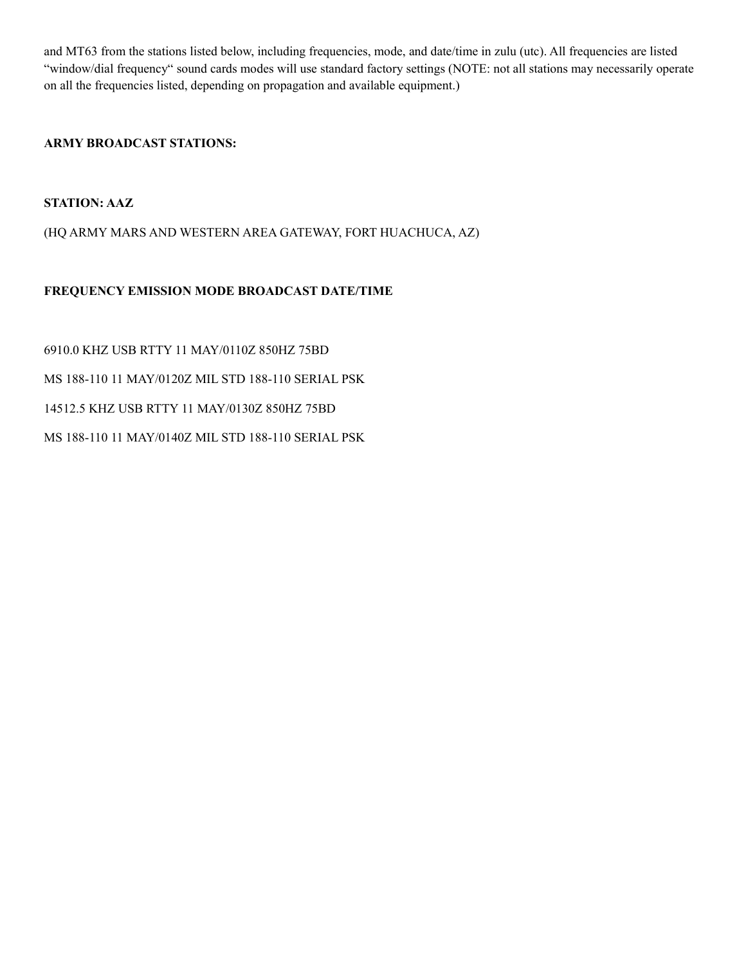and MT63 from the stations listed below, including frequencies, mode, and date/time in zulu (utc). All frequencies are listed "window/dial frequency" sound cards modes will use standard factory settings (NOTE: not all stations may necessarily operate on all the frequencies listed, depending on propagation and available equipment.)

#### **ARMY BROADCAST STATIONS:**

#### **STATION: AAZ**

(HQ ARMY MARS AND WESTERN AREA GATEWAY, FORT HUACHUCA, AZ)

#### **FREQUENCY EMISSION MODE BROADCAST DATE/TIME**

6910.0 KHZ USB RTTY 11 MAY/0110Z 850HZ 75BD MS 188-110 11 MAY/0120Z MIL STD 188-110 SERIAL PSK 14512.5 KHZ USB RTTY 11 MAY/0130Z 850HZ 75BD MS 188-110 11 MAY/0140Z MIL STD 188-110 SERIAL PSK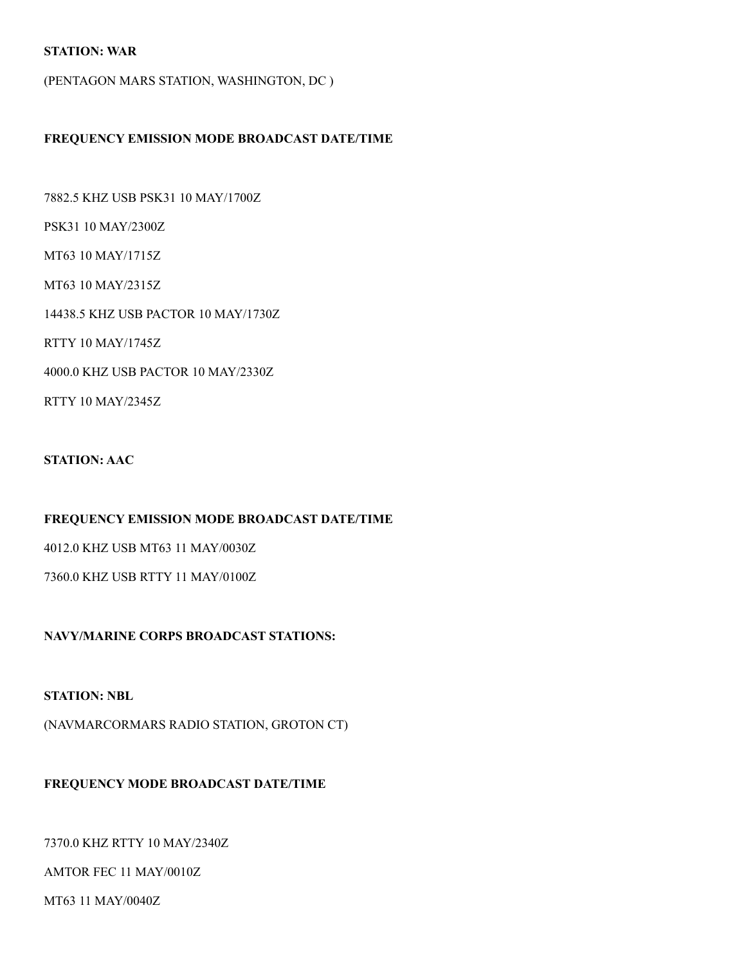#### **STATION: WAR**

(PENTAGON MARS STATION, WASHINGTON, DC )

#### **FREQUENCY EMISSION MODE BROADCAST DATE/TIME**

7882.5 KHZ USB PSK31 10 MAY/1700Z

PSK31 10 MAY/2300Z

MT63 10 MAY/1715Z

MT63 10 MAY/2315Z

14438.5 KHZ USB PACTOR 10 MAY/1730Z

RTTY 10 MAY/1745Z

4000.0 KHZ USB PACTOR 10 MAY/2330Z

RTTY 10 MAY/2345Z

#### **STATION: AAC**

**FREQUENCY EMISSION MODE BROADCAST DATE/TIME** 

4012.0 KHZ USB MT63 11 MAY/0030Z

7360.0 KHZ USB RTTY 11 MAY/0100Z

**NAVY/MARINE CORPS BROADCAST STATIONS:** 

#### **STATION: NBL**

(NAVMARCORMARS RADIO STATION, GROTON CT)

#### **FREQUENCY MODE BROADCAST DATE/TIME**

7370.0 KHZ RTTY 10 MAY/2340Z

#### AMTOR FEC 11 MAY/0010Z

MT63 11 MAY/0040Z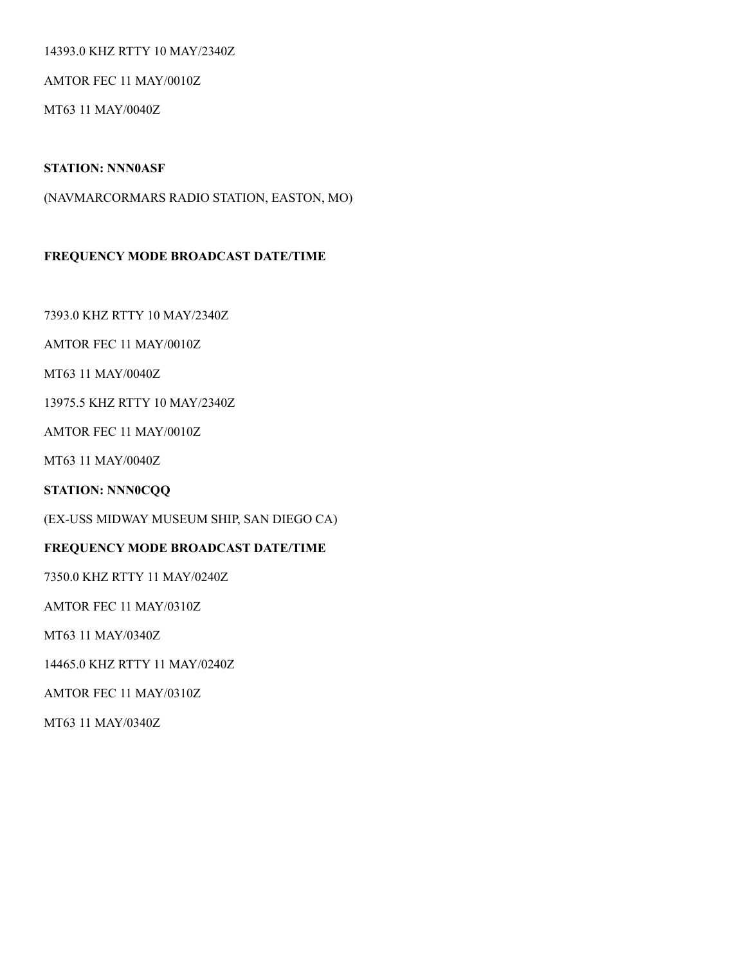#### 14393.0 KHZ RTTY 10 MAY/2340Z

AMTOR FEC 11 MAY/0010Z

MT63 11 MAY/0040Z

#### **STATION: NNN0ASF**

(NAVMARCORMARS RADIO STATION, EASTON, MO)

#### **FREQUENCY MODE BROADCAST DATE/TIME**

7393.0 KHZ RTTY 10 MAY/2340Z

AMTOR FEC 11 MAY/0010Z

MT63 11 MAY/0040Z

13975.5 KHZ RTTY 10 MAY/2340Z

AMTOR FEC 11 MAY/0010Z

MT63 11 MAY/0040Z

**STATION: NNN0CQQ** 

(EX-USS MIDWAY MUSEUM SHIP, SAN DIEGO CA)

#### **FREQUENCY MODE BROADCAST DATE/TIME**

7350.0 KHZ RTTY 11 MAY/0240Z

AMTOR FEC 11 MAY/0310Z

MT63 11 MAY/0340Z

14465.0 KHZ RTTY 11 MAY/0240Z

AMTOR FEC 11 MAY/0310Z

MT63 11 MAY/0340Z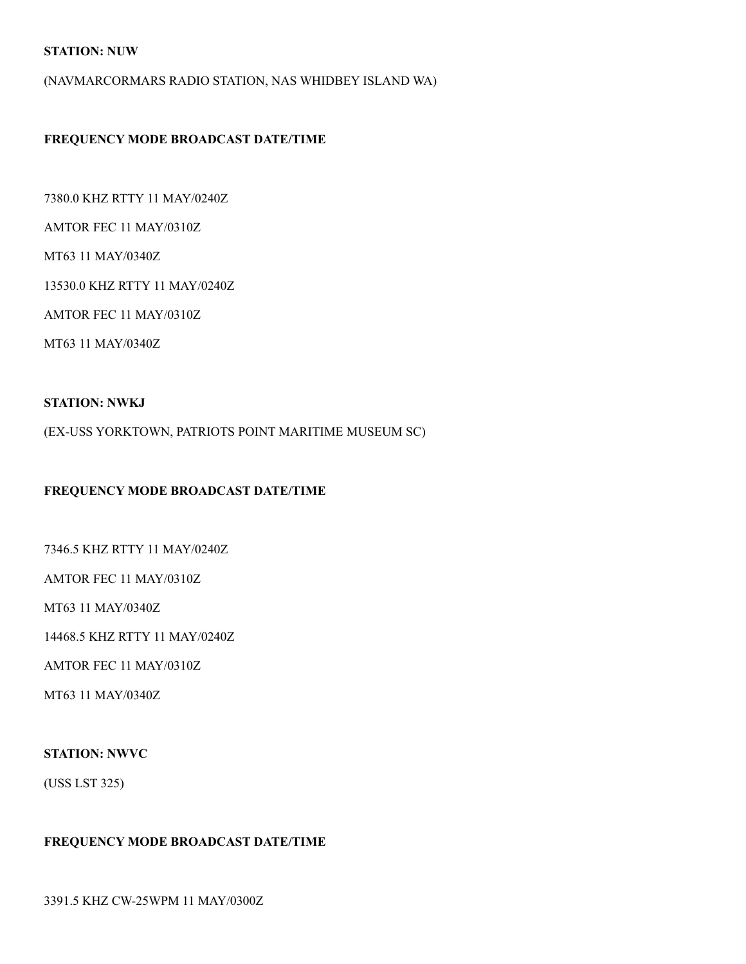#### **STATION: NUW**

(NAVMARCORMARS RADIO STATION, NAS WHIDBEY ISLAND WA)

#### **FREQUENCY MODE BROADCAST DATE/TIME**

7380.0 KHZ RTTY 11 MAY/0240Z

AMTOR FEC 11 MAY/0310Z

MT63 11 MAY/0340Z

13530.0 KHZ RTTY 11 MAY/0240Z

AMTOR FEC 11 MAY/0310Z

MT63 11 MAY/0340Z

#### **STATION: NWKJ**

(EX-USS YORKTOWN, PATRIOTS POINT MARITIME MUSEUM SC)

#### **FREQUENCY MODE BROADCAST DATE/TIME**

7346.5 KHZ RTTY 11 MAY/0240Z

AMTOR FEC 11 MAY/0310Z

MT63 11 MAY/0340Z

14468.5 KHZ RTTY 11 MAY/0240Z

AMTOR FEC 11 MAY/0310Z

MT63 11 MAY/0340Z

#### **STATION: NWVC**

(USS LST 325)

#### **FREQUENCY MODE BROADCAST DATE/TIME**

3391.5 KHZ CW-25WPM 11 MAY/0300Z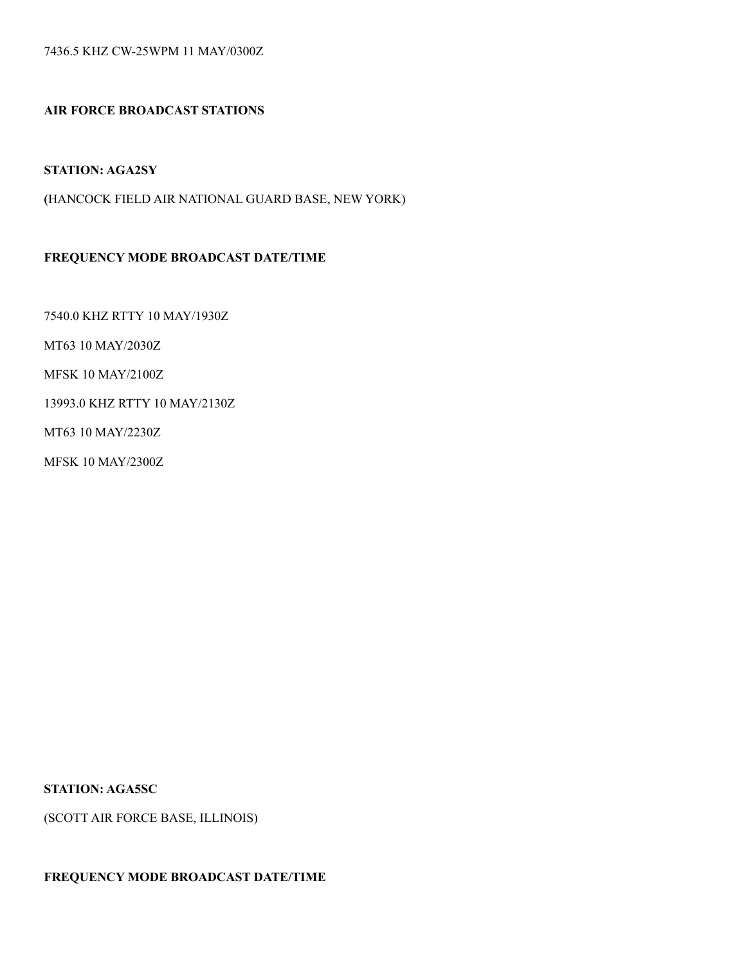7436.5 KHZ CW-25WPM 11 MAY/0300Z

#### **AIR FORCE BROADCAST STATIONS**

#### **STATION: AGA2SY**

**(**HANCOCK FIELD AIR NATIONAL GUARD BASE, NEW YORK)

#### **FREQUENCY MODE BROADCAST DATE/TIME**

7540.0 KHZ RTTY 10 MAY/1930Z

MT63 10 MAY/2030Z

MFSK 10 MAY/2100Z

13993.0 KHZ RTTY 10 MAY/2130Z

MT63 10 MAY/2230Z

MFSK 10 MAY/2300Z

**STATION: AGA5SC** 

(SCOTT AIR FORCE BASE, ILLINOIS)

#### **FREQUENCY MODE BROADCAST DATE/TIME**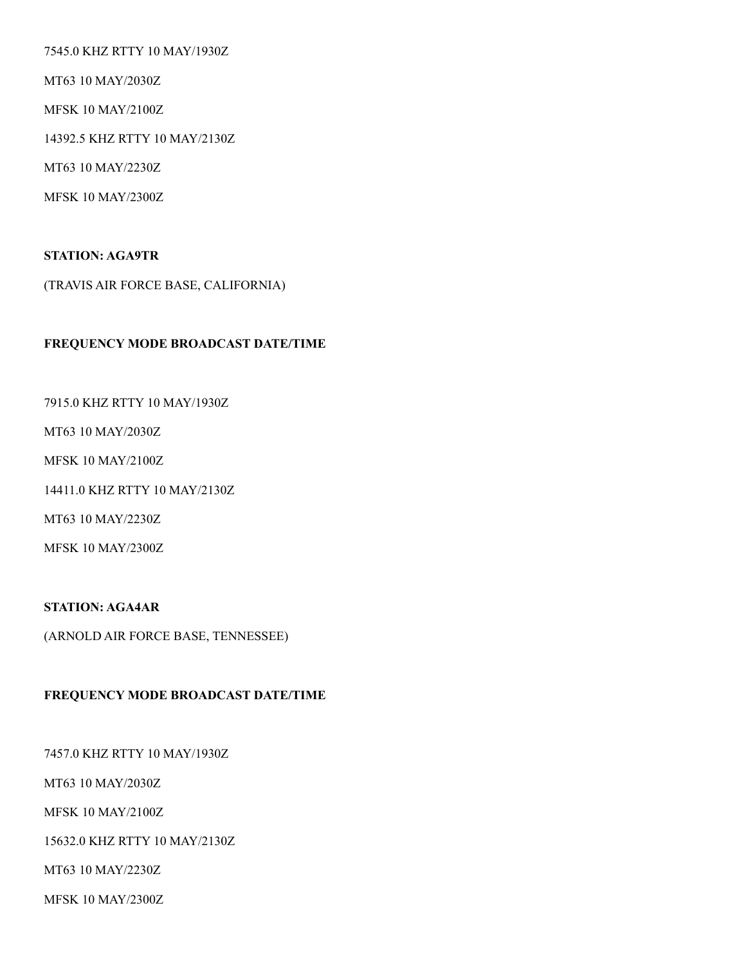7545.0 KHZ RTTY 10 MAY/1930Z

MT63 10 MAY/2030Z

MFSK 10 MAY/2100Z

14392.5 KHZ RTTY 10 MAY/2130Z

MT63 10 MAY/2230Z

MFSK 10 MAY/2300Z

#### **STATION: AGA9TR**

(TRAVIS AIR FORCE BASE, CALIFORNIA)

#### **FREQUENCY MODE BROADCAST DATE/TIME**

7915.0 KHZ RTTY 10 MAY/1930Z

MT63 10 MAY/2030Z

MFSK 10 MAY/2100Z

14411.0 KHZ RTTY 10 MAY/2130Z

MT63 10 MAY/2230Z

MFSK 10 MAY/2300Z

**STATION: AGA4AR** 

(ARNOLD AIR FORCE BASE, TENNESSEE)

#### **FREQUENCY MODE BROADCAST DATE/TIME**

7457.0 KHZ RTTY 10 MAY/1930Z

MT63 10 MAY/2030Z

MFSK 10 MAY/2100Z

15632.0 KHZ RTTY 10 MAY/2130Z

MT63 10 MAY/2230Z

MFSK 10 MAY/2300Z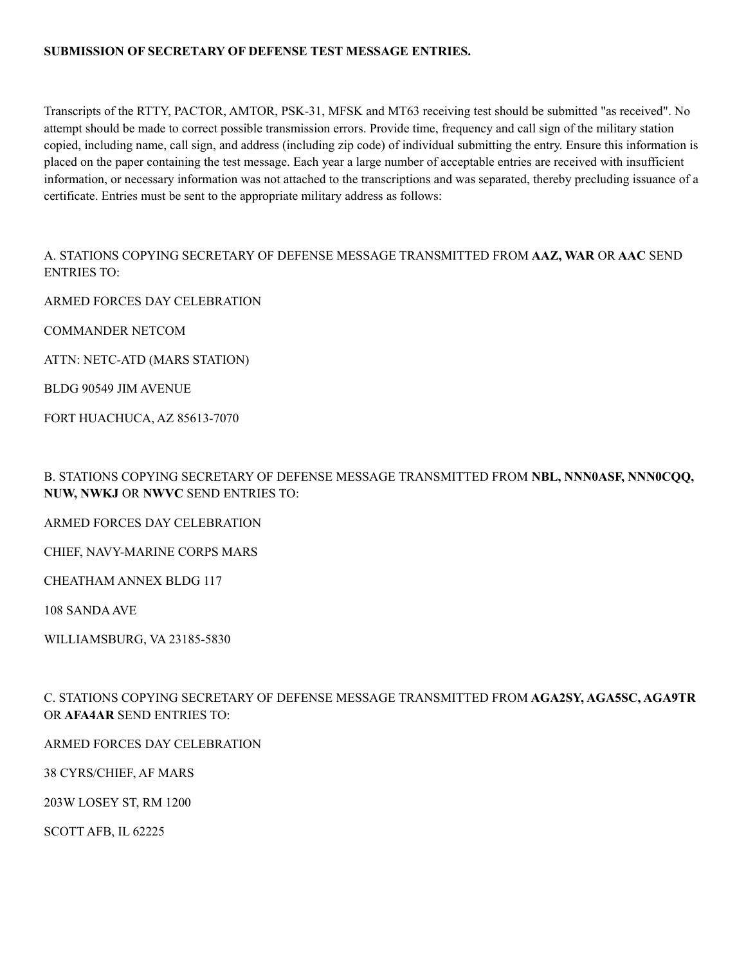#### **SUBMISSION OF SECRETARY OF DEFENSE TEST MESSAGE ENTRIES.**

Transcripts of the RTTY, PACTOR, AMTOR, PSK-31, MFSK and MT63 receiving test should be submitted "as received". No attempt should be made to correct possible transmission errors. Provide time, frequency and call sign of the military station copied, including name, call sign, and address (including zip code) of individual submitting the entry. Ensure this information is placed on the paper containing the test message. Each year a large number of acceptable entries are received with insufficient information, or necessary information was not attached to the transcriptions and was separated, thereby precluding issuance of a certificate. Entries must be sent to the appropriate military address as follows:

A. STATIONS COPYING SECRETARY OF DEFENSE MESSAGE TRANSMITTED FROM **AAZ, WAR** OR **AAC** SEND ENTRIES TO:

ARMED FORCES DAY CELEBRATION

COMMANDER NETCOM

ATTN: NETC-ATD (MARS STATION)

BLDG 90549 JIM AVENUE

FORT HUACHUCA, AZ 85613-7070

B. STATIONS COPYING SECRETARY OF DEFENSE MESSAGE TRANSMITTED FROM **NBL, NNN0ASF, NNN0CQQ, NUW, NWKJ** OR **NWVC** SEND ENTRIES TO:

ARMED FORCES DAY CELEBRATION

CHIEF, NAVY-MARINE CORPS MARS

CHEATHAM ANNEX BLDG 117

108 SANDA AVE

WILLIAMSBURG, VA 23185-5830

C. STATIONS COPYING SECRETARY OF DEFENSE MESSAGE TRANSMITTED FROM **AGA2SY, AGA5SC, AGA9TR**  OR **AFA4AR** SEND ENTRIES TO:

ARMED FORCES DAY CELEBRATION

38 CYRS/CHIEF, AF MARS

203W LOSEY ST, RM 1200

SCOTT AFB, IL 62225